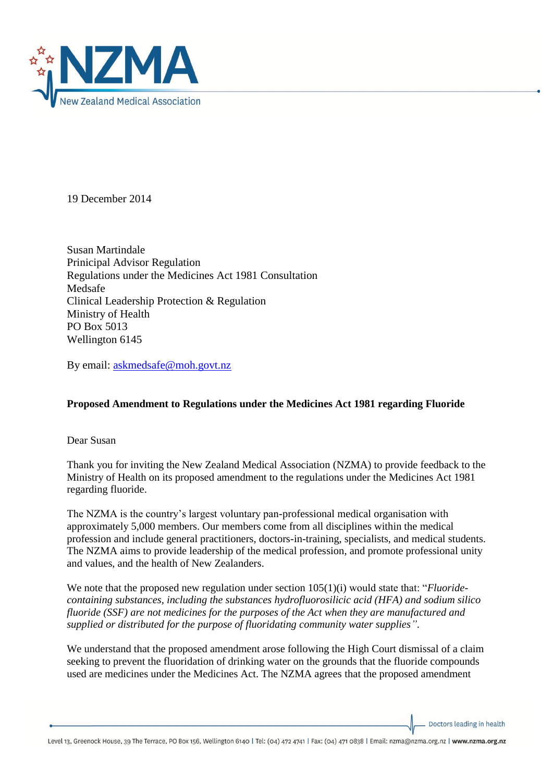

19 December 2014

Susan Martindale Prinicipal Advisor Regulation Regulations under the Medicines Act 1981 Consultation Medsafe Clinical Leadership Protection & Regulation Ministry of Health PO Box 5013 Wellington 6145

By email: [askmedsafe@moh.govt.nz](mailto:askmedsafe@moh.govt.nz)

## **Proposed Amendment to Regulations under the Medicines Act 1981 regarding Fluoride**

Dear Susan

Thank you for inviting the New Zealand Medical Association (NZMA) to provide feedback to the Ministry of Health on its proposed amendment to the regulations under the Medicines Act 1981 regarding fluoride.

The NZMA is the country's largest voluntary pan-professional medical organisation with approximately 5,000 members. Our members come from all disciplines within the medical profession and include general practitioners, doctors-in-training, specialists, and medical students. The NZMA aims to provide leadership of the medical profession, and promote professional unity and values, and the health of New Zealanders.

We note that the proposed new regulation under section 105(1)(i) would state that: "*Fluoridecontaining substances, including the substances hydrofluorosilicic acid (HFA) and sodium silico fluoride (SSF) are not medicines for the purposes of the Act when they are manufactured and supplied or distributed for the purpose of fluoridating community water supplies"*.

We understand that the proposed amendment arose following the High Court dismissal of a claim seeking to prevent the fluoridation of drinking water on the grounds that the fluoride compounds used are medicines under the Medicines Act. The NZMA agrees that the proposed amendment

Doctors leading in health